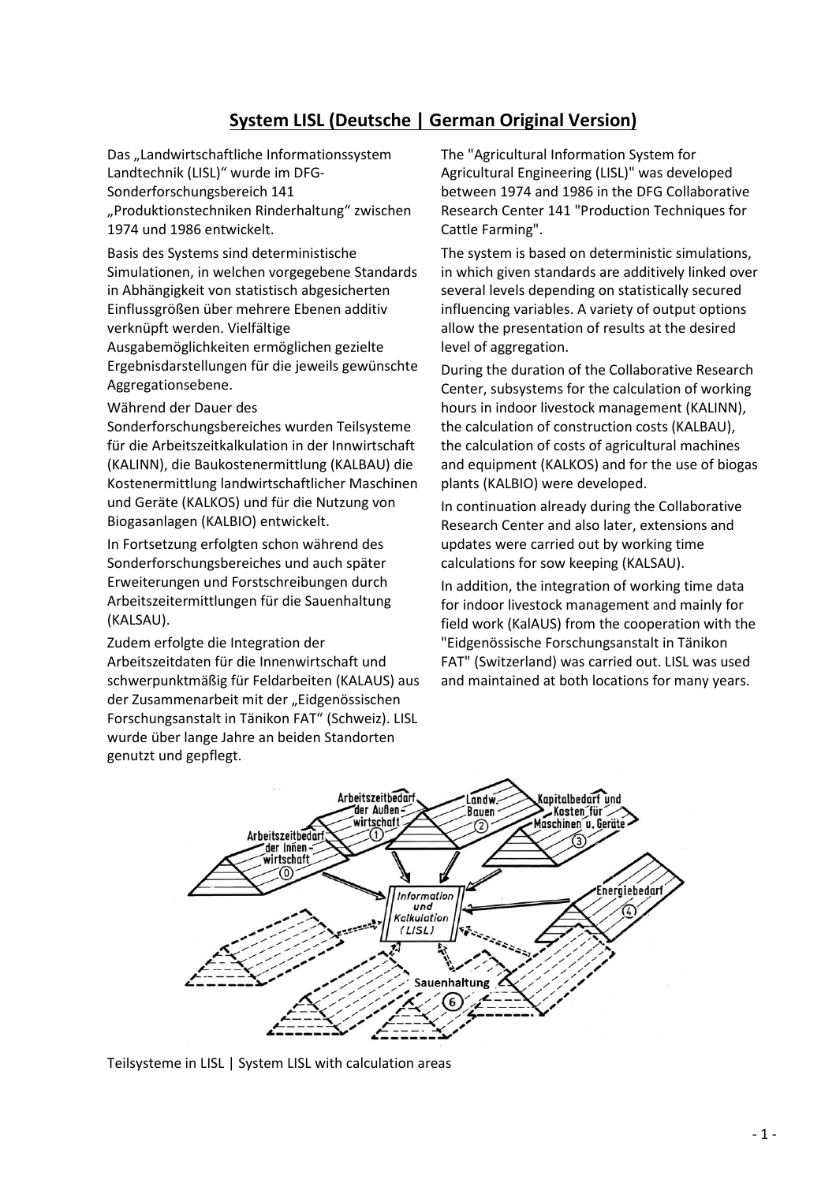## **System LISL (Deutsche | German Original Version)**

Das "Landwirtschaftliche Informationssystem Landtechnik (LISL)" wurde im DFG-Sonderforschungsbereich 141 "Produktionstechniken Rinderhaltung" zwischen 1974 und 1986 entwickelt.

Basis des Systems sind deterministische Simulationen, in welchen vorgegebene Standards in Abhängigkeit von statistisch abgesicherten Einflussgrößen über mehrere Ebenen additiv verknüpft werden. Vielfältige Ausgabemöglichkeiten ermöglichen gezielte

Ergebnisdarstellungen für die jeweils gewünschte Aggregationsebene.

Während der Dauer des

Sonderforschungsbereiches wurden Teilsysteme für die Arbeitszeitkalkulation in der Innwirtschaft (KALINN), die Baukostenermittlung (KALBAU) die Kostenermittlung landwirtschaftlicher Maschinen und Geräte (KALKOS) und für die Nutzung von Biogasanlagen (KALBIO) entwickelt.

In Fortsetzung erfolgten schon während des Sonderforschungsbereiches und auch später Erweiterungen und Forstschreibungen durch Arbeitszeitermittlungen für die Sauenhaltung (KALSAU).

Zudem erfolgte die Integration der Arbeitszeitdaten für die Innenwirtschaft und schwerpunktmäßig für Feldarbeiten (KALAUS) aus der Zusammenarbeit mit der "Eidgenössischen Forschungsanstalt in Tänikon FAT" (Schweiz). LISL wurde über lange Jahre an beiden Standorten genutzt und gepflegt.

The "Agricultural Information System for Agricultural Engineering (LISL)" was developed between 1974 and 1986 in the DFG Collaborative Research Center 141 "Production Techniques for Cattle Farming".

The system is based on deterministic simulations, in which given standards are additively linked over several levels depending on statistically secured influencing variables. A variety of output options allow the presentation of results at the desired level of aggregation.

During the duration of the Collaborative Research Center, subsystems for the calculation of working hours in indoor livestock management (KALINN), the calculation of construction costs (KALBAU), the calculation of costs of agricultural machines and equipment (KALKOS) and for the use of biogas plants (KALBIO) were developed.

In continuation already during the Collaborative Research Center and also later, extensions and updates were carried out by working time calculations for sow keeping (KALSAU).

In addition, the integration of working time data for indoor livestock management and mainly for field work (KalAUS) from the cooperation with the "Eidgenössische Forschungsanstalt in Tänikon FAT" (Switzerland) was carried out. LISL was used and maintained at both locations for many years.



Teilsysteme in LISL | System LISL with calculation areas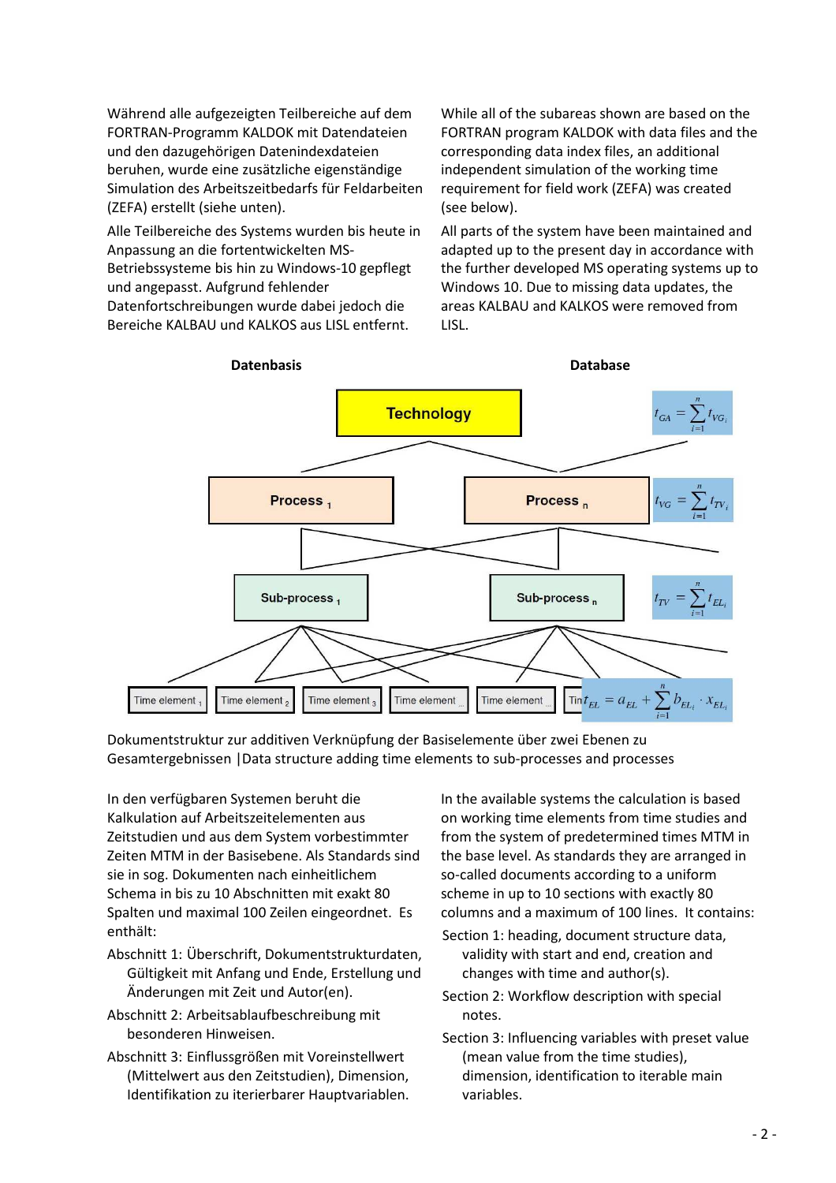Während alle aufgezeigten Teilbereiche auf dem FORTRAN-Programm KALDOK mit Datendateien und den dazugehörigen Datenindexdateien beruhen, wurde eine zusätzliche eigenständige Simulation des Arbeitszeitbedarfs für Feldarbeiten (ZEFA) erstellt (siehe unten).

Alle Teilbereiche des Systems wurden bis heute in Anpassung an die fortentwickelten MS-Betriebssysteme bis hin zu Windows-10 gepflegt und angepasst. Aufgrund fehlender Datenfortschreibungen wurde dabei jedoch die

Bereiche KALBAU und KALKOS aus LISL entfernt.

While all of the subareas shown are based on the FORTRAN program KALDOK with data files and the corresponding data index files, an additional independent simulation of the working time requirement for field work (ZEFA) was created (see below).

All parts of the system have been maintained and adapted up to the present day in accordance with the further developed MS operating systems up to Windows 10. Due to missing data updates, the areas KALBAU and KALKOS were removed from LISL.



Dokumentstruktur zur additiven Verknüpfung der Basiselemente über zwei Ebenen zu Gesamtergebnissen |Data structure adding time elements to sub-processes and processes

In den verfügbaren Systemen beruht die Kalkulation auf Arbeitszeitelementen aus Zeitstudien und aus dem System vorbestimmter Zeiten MTM in der Basisebene. Als Standards sind sie in sog. Dokumenten nach einheitlichem Schema in bis zu 10 Abschnitten mit exakt 80 Spalten und maximal 100 Zeilen eingeordnet. Es enthält:

- Abschnitt 1: Überschrift, Dokumentstrukturdaten, Gültigkeit mit Anfang und Ende, Erstellung und Änderungen mit Zeit und Autor(en).
- Abschnitt 2: Arbeitsablaufbeschreibung mit besonderen Hinweisen.
- Abschnitt 3: Einflussgrößen mit Voreinstellwert (Mittelwert aus den Zeitstudien), Dimension, Identifikation zu iterierbarer Hauptvariablen.

In the available systems the calculation is based on working time elements from time studies and from the system of predetermined times MTM in the base level. As standards they are arranged in so-called documents according to a uniform scheme in up to 10 sections with exactly 80 columns and a maximum of 100 lines. It contains:

- Section 1: heading, document structure data, validity with start and end, creation and changes with time and author(s).
- Section 2: Workflow description with special notes.
- Section 3: Influencing variables with preset value (mean value from the time studies), dimension, identification to iterable main variables.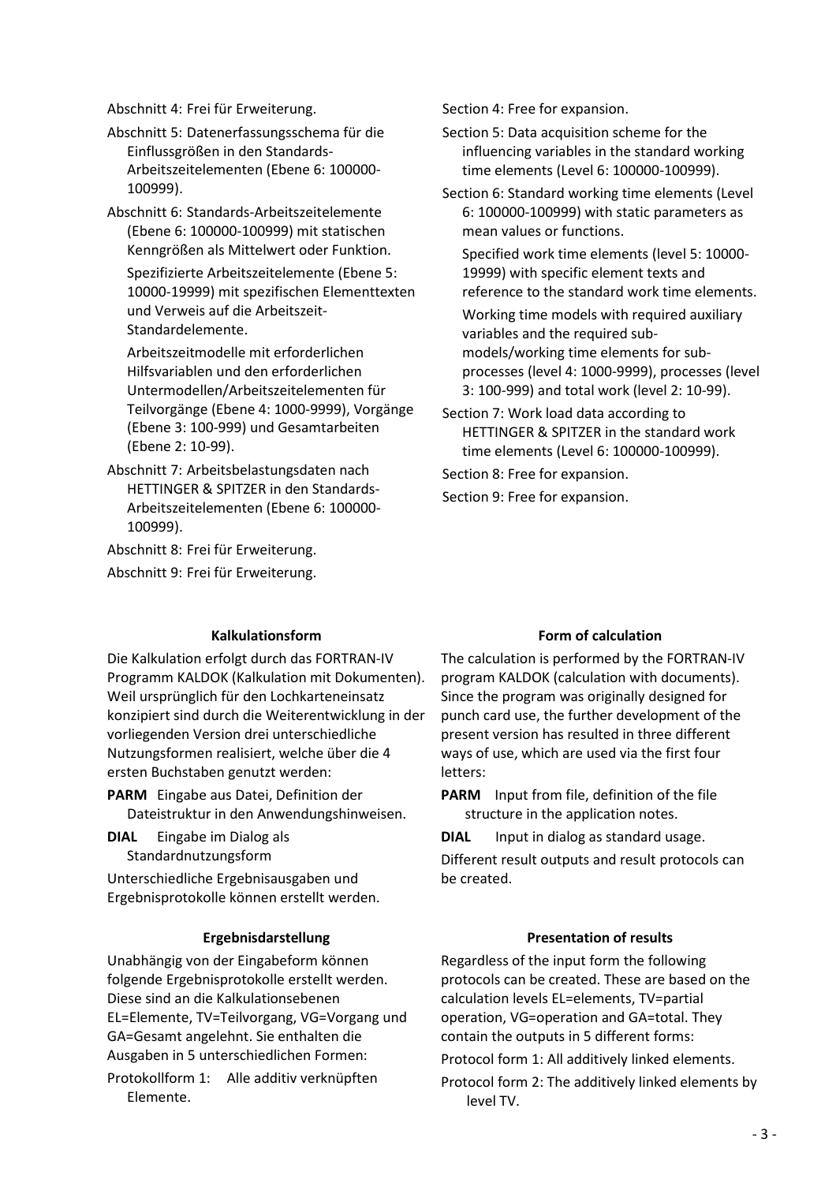Abschnitt 4: Frei für Erweiterung.

Abschnitt 5: Datenerfassungsschema für die Einflussgrößen in den Standards-Arbeitszeitelementen (Ebene 6: 100000- 100999).

Abschnitt 6: Standards-Arbeitszeitelemente (Ebene 6: 100000-100999) mit statischen Kenngrößen als Mittelwert oder Funktion.

 Spezifizierte Arbeitszeitelemente (Ebene 5: 10000-19999) mit spezifischen Elementtexten und Verweis auf die Arbeitszeit-Standardelemente.

 Arbeitszeitmodelle mit erforderlichen Hilfsvariablen und den erforderlichen Untermodellen/Arbeitszeitelementen für Teilvorgänge (Ebene 4: 1000-9999), Vorgänge (Ebene 3: 100-999) und Gesamtarbeiten (Ebene 2: 10-99).

Abschnitt 7: Arbeitsbelastungsdaten nach HETTINGER & SPITZER in den Standards-Arbeitszeitelementen (Ebene 6: 100000- 100999).

Abschnitt 8: Frei für Erweiterung.

Abschnitt 9: Frei für Erweiterung.

Die Kalkulation erfolgt durch das FORTRAN-IV Programm KALDOK (Kalkulation mit Dokumenten). Weil ursprünglich für den Lochkarteneinsatz konzipiert sind durch die Weiterentwicklung in der vorliegenden Version drei unterschiedliche Nutzungsformen realisiert, welche über die 4 ersten Buchstaben genutzt werden:

**PARM** Eingabe aus Datei, Definition der Dateistruktur in den Anwendungshinweisen.

**DIAL** Eingabe im Dialog als Standardnutzungsform

Unterschiedliche Ergebnisausgaben und Ergebnisprotokolle können erstellt werden.

Unabhängig von der Eingabeform können folgende Ergebnisprotokolle erstellt werden. Diese sind an die Kalkulationsebenen EL=Elemente, TV=Teilvorgang, VG=Vorgang und GA=Gesamt angelehnt. Sie enthalten die Ausgaben in 5 unterschiedlichen Formen:

Protokollform 1: Alle additiv verknüpften Elemente.

Section 4: Free for expansion.

- Section 5: Data acquisition scheme for the influencing variables in the standard working time elements (Level 6: 100000-100999).
- Section 6: Standard working time elements (Level 6: 100000-100999) with static parameters as mean values or functions.

 Specified work time elements (level 5: 10000- 19999) with specific element texts and reference to the standard work time elements.

 Working time models with required auxiliary variables and the required submodels/working time elements for subprocesses (level 4: 1000-9999), processes (level 3: 100-999) and total work (level 2: 10-99).

Section 7: Work load data according to HETTINGER & SPITZER in the standard work time elements (Level 6: 100000-100999).

Section 8: Free for expansion.

Section 9: Free for expansion.

#### **Kalkulationsform Example 20 Form of calculation Form of calculation**

The calculation is performed by the FORTRAN-IV program KALDOK (calculation with documents). Since the program was originally designed for punch card use, the further development of the present version has resulted in three different ways of use, which are used via the first four letters:

**PARM** Input from file, definition of the file structure in the application notes.

**DIAL** Input in dialog as standard usage.

Different result outputs and result protocols can be created.

#### **Ergebnisdarstellung Community Community Presentation of results**

Regardless of the input form the following protocols can be created. These are based on the calculation levels EL=elements, TV=partial operation, VG=operation and GA=total. They contain the outputs in 5 different forms:

Protocol form 1: All additively linked elements.

Protocol form 2: The additively linked elements by level TV.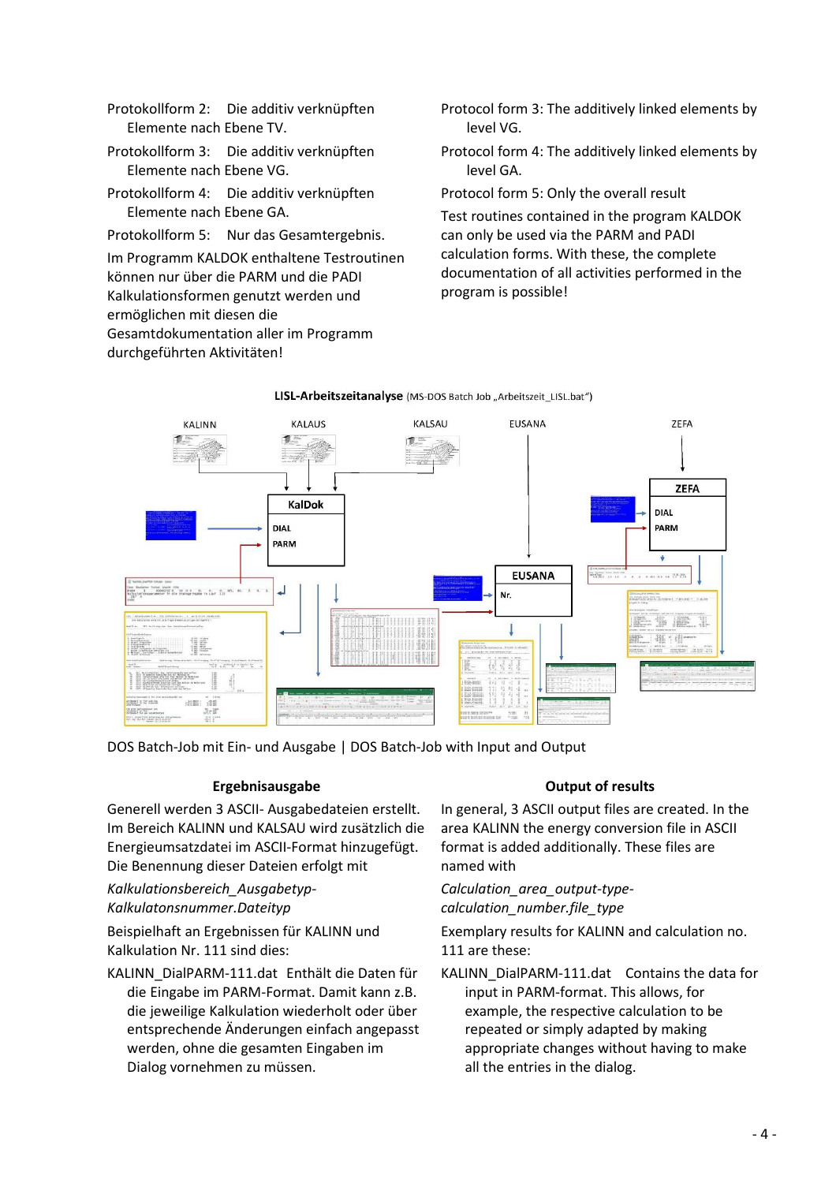- Protokollform 2: Die additiv verknüpften Elemente nach Ebene TV.
- Protokollform 3: Die additiv verknüpften Elemente nach Ebene VG.
- Protokollform 4: Die additiv verknüpften Elemente nach Ebene GA.
- Protokollform 5: Nur das Gesamtergebnis.

Im Programm KALDOK enthaltene Testroutinen können nur über die PARM und die PADI Kalkulationsformen genutzt werden und ermöglichen mit diesen die Gesamtdokumentation aller im Programm durchgeführten Aktivitäten!

- Protocol form 3: The additively linked elements by level VG.
- Protocol form 4: The additively linked elements by level GA.

Protocol form 5: Only the overall result

Test routines contained in the program KALDOK can only be used via the PARM and PADI calculation forms. With these, the complete documentation of all activities performed in the program is possible!



LISL-Arbeitszeitanalyse (MS-DOS Batch Job "Arbeitszeit\_LISL.bat")

DOS Batch-Job mit Ein- und Ausgabe | DOS Batch-Job with Input and Output

### **Ergebnisausgabe CE Output of results**

Generell werden 3 ASCII- Ausgabedateien erstellt. Im Bereich KALINN und KALSAU wird zusätzlich die Energieumsatzdatei im ASCII-Format hinzugefügt. Die Benennung dieser Dateien erfolgt mit

*Kalkulationsbereich\_Ausgabetyp-Kalkulatonsnummer.Dateityp* 

Beispielhaft an Ergebnissen für KALINN und Kalkulation Nr. 111 sind dies:

KALINN\_DialPARM-111.dat Enthält die Daten für die Eingabe im PARM-Format. Damit kann z.B. die jeweilige Kalkulation wiederholt oder über entsprechende Änderungen einfach angepasst werden, ohne die gesamten Eingaben im Dialog vornehmen zu müssen.

In general, 3 ASCII output files are created. In the area KALINN the energy conversion file in ASCII format is added additionally. These files are named with

*Calculation\_area\_output-typecalculation\_number.file\_type* 

Exemplary results for KALINN and calculation no. 111 are these:

KALINN\_DialPARM-111.dat Contains the data for input in PARM-format. This allows, for example, the respective calculation to be repeated or simply adapted by making appropriate changes without having to make all the entries in the dialog.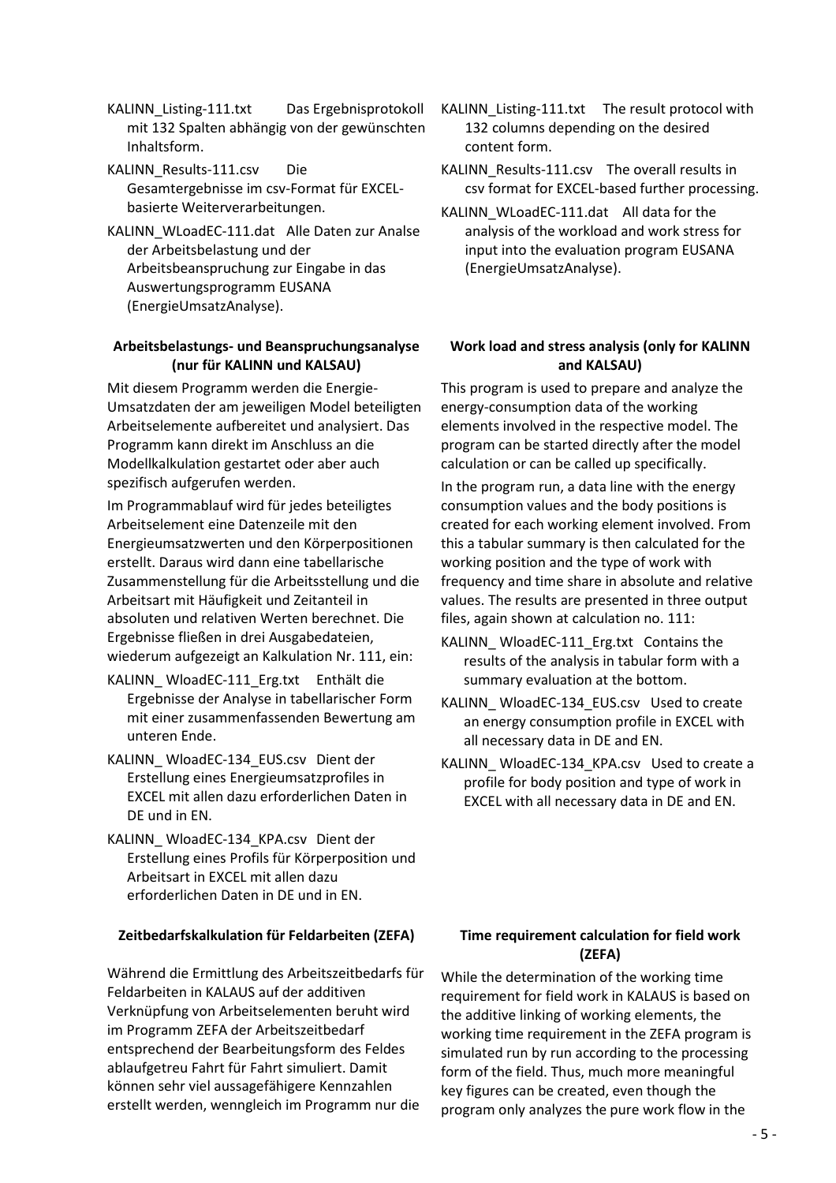KALINN\_Listing-111.txt Das Ergebnisprotokoll mit 132 Spalten abhängig von der gewünschten Inhaltsform.

KALINN\_Results-111.csv Die Gesamtergebnisse im csv-Format für EXCELbasierte Weiterverarbeitungen.

KALINN\_WLoadEC-111.dat Alle Daten zur Analse der Arbeitsbelastung und der Arbeitsbeanspruchung zur Eingabe in das Auswertungsprogramm EUSANA (EnergieUmsatzAnalyse).

#### **Arbeitsbelastungs- und Beanspruchungsanalyse (nur für KALINN und KALSAU)**

Mit diesem Programm werden die Energie-Umsatzdaten der am jeweiligen Model beteiligten Arbeitselemente aufbereitet und analysiert. Das Programm kann direkt im Anschluss an die Modellkalkulation gestartet oder aber auch spezifisch aufgerufen werden.

Im Programmablauf wird für jedes beteiligtes Arbeitselement eine Datenzeile mit den Energieumsatzwerten und den Körperpositionen erstellt. Daraus wird dann eine tabellarische Zusammenstellung für die Arbeitsstellung und die Arbeitsart mit Häufigkeit und Zeitanteil in absoluten und relativen Werten berechnet. Die Ergebnisse fließen in drei Ausgabedateien, wiederum aufgezeigt an Kalkulation Nr. 111, ein:

- KALINN\_ WloadEC-111\_Erg.txt Enthält die Ergebnisse der Analyse in tabellarischer Form mit einer zusammenfassenden Bewertung am unteren Ende.
- KALINN\_ WloadEC-134\_EUS.csv Dient der Erstellung eines Energieumsatzprofiles in EXCEL mit allen dazu erforderlichen Daten in DE und in EN.
- KALINN\_ WloadEC-134\_KPA.csv Dient der Erstellung eines Profils für Körperposition und Arbeitsart in EXCEL mit allen dazu erforderlichen Daten in DE und in EN.

### **Zeitbedarfskalkulation für Feldarbeiten (ZEFA) Time requirement calculation for field work**

Während die Ermittlung des Arbeitszeitbedarfs für Feldarbeiten in KALAUS auf der additiven Verknüpfung von Arbeitselementen beruht wird im Programm ZEFA der Arbeitszeitbedarf entsprechend der Bearbeitungsform des Feldes ablaufgetreu Fahrt für Fahrt simuliert. Damit können sehr viel aussagefähigere Kennzahlen erstellt werden, wenngleich im Programm nur die

- KALINN Listing-111.txt The result protocol with 132 columns depending on the desired content form.
- KALINN\_Results-111.csv The overall results in csv format for EXCEL-based further processing.
- KALINN\_WLoadEC-111.dat All data for the analysis of the workload and work stress for input into the evaluation program EUSANA (EnergieUmsatzAnalyse).

#### **Work load and stress analysis (only for KALINN and KALSAU)**

This program is used to prepare and analyze the energy-consumption data of the working elements involved in the respective model. The program can be started directly after the model calculation or can be called up specifically.

In the program run, a data line with the energy consumption values and the body positions is created for each working element involved. From this a tabular summary is then calculated for the working position and the type of work with frequency and time share in absolute and relative values. The results are presented in three output files, again shown at calculation no. 111:

- KALINN WloadEC-111 Erg.txt Contains the results of the analysis in tabular form with a summary evaluation at the bottom.
- KALINN\_ WloadEC-134\_EUS.csv Used to create an energy consumption profile in EXCEL with all necessary data in DE and EN.
- KALINN WloadEC-134 KPA.csv Used to create a profile for body position and type of work in EXCEL with all necessary data in DE and EN.

# **(ZEFA)**

While the determination of the working time requirement for field work in KALAUS is based on the additive linking of working elements, the working time requirement in the ZEFA program is simulated run by run according to the processing form of the field. Thus, much more meaningful key figures can be created, even though the program only analyzes the pure work flow in the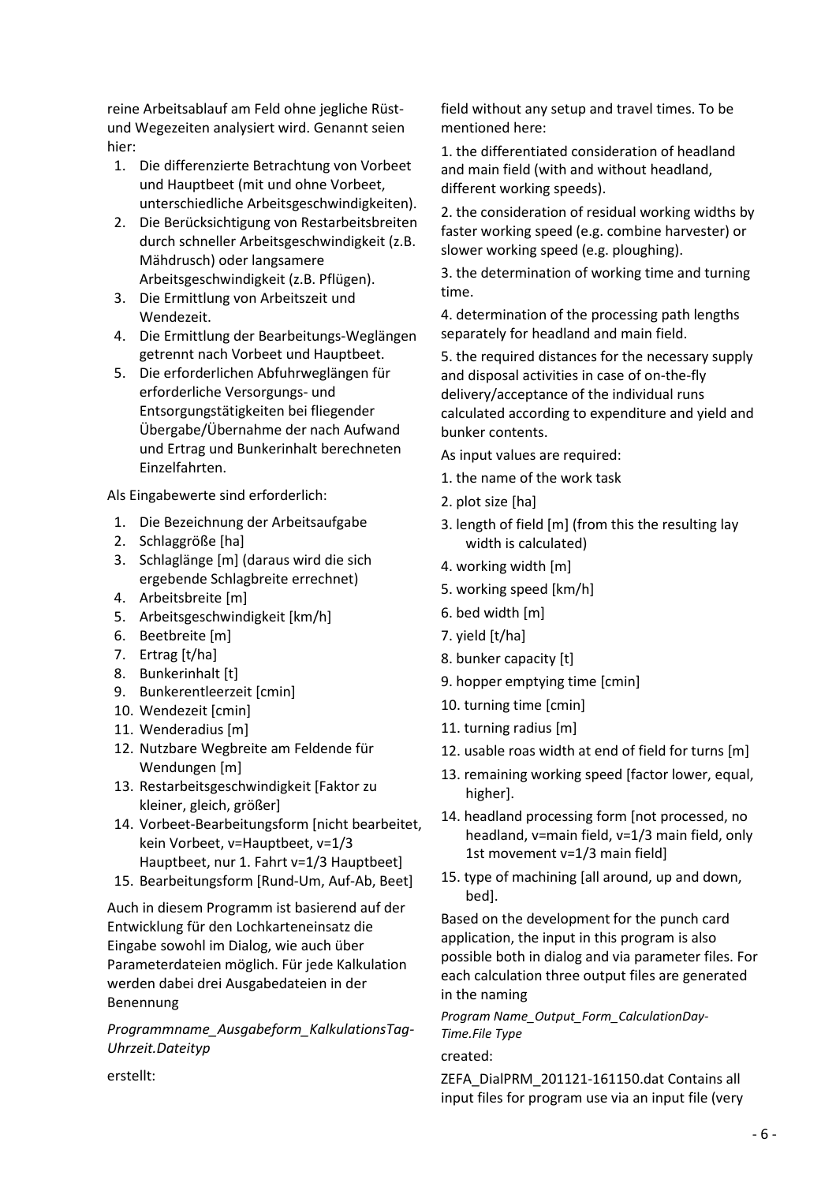reine Arbeitsablauf am Feld ohne jegliche Rüstund Wegezeiten analysiert wird. Genannt seien hier:

- 1. Die differenzierte Betrachtung von Vorbeet und Hauptbeet (mit und ohne Vorbeet, unterschiedliche Arbeitsgeschwindigkeiten).
- 2. Die Berücksichtigung von Restarbeitsbreiten durch schneller Arbeitsgeschwindigkeit (z.B. Mähdrusch) oder langsamere Arbeitsgeschwindigkeit (z.B. Pflügen).
- 3. Die Ermittlung von Arbeitszeit und Wendezeit.
- 4. Die Ermittlung der Bearbeitungs-Weglängen getrennt nach Vorbeet und Hauptbeet.
- 5. Die erforderlichen Abfuhrweglängen für erforderliche Versorgungs- und Entsorgungstätigkeiten bei fliegender Übergabe/Übernahme der nach Aufwand und Ertrag und Bunkerinhalt berechneten Einzelfahrten.

Als Eingabewerte sind erforderlich:

- 1. Die Bezeichnung der Arbeitsaufgabe
- 2. Schlaggröße [ha]
- 3. Schlaglänge [m] (daraus wird die sich ergebende Schlagbreite errechnet)
- 4. Arbeitsbreite [m]
- 5. Arbeitsgeschwindigkeit [km/h]
- 6. Beetbreite [m]
- 7. Ertrag [t/ha]
- 8. Bunkerinhalt [t]
- 9. Bunkerentleerzeit [cmin]
- 10. Wendezeit [cmin]
- 11. Wenderadius [m]
- 12. Nutzbare Wegbreite am Feldende für Wendungen [m]
- 13. Restarbeitsgeschwindigkeit [Faktor zu kleiner, gleich, größer]
- 14. Vorbeet-Bearbeitungsform [nicht bearbeitet, kein Vorbeet, v=Hauptbeet, v=1/3 Hauptbeet, nur 1. Fahrt v=1/3 Hauptbeet]
- 15. Bearbeitungsform [Rund-Um, Auf-Ab, Beet]

Auch in diesem Programm ist basierend auf der Entwicklung für den Lochkarteneinsatz die Eingabe sowohl im Dialog, wie auch über Parameterdateien möglich. Für jede Kalkulation werden dabei drei Ausgabedateien in der Benennung

*Programmname\_Ausgabeform\_KalkulationsTag-Uhrzeit.Dateityp* 

field without any setup and travel times. To be mentioned here:

1. the differentiated consideration of headland and main field (with and without headland, different working speeds).

2. the consideration of residual working widths by faster working speed (e.g. combine harvester) or slower working speed (e.g. ploughing).

3. the determination of working time and turning time.

4. determination of the processing path lengths separately for headland and main field.

5. the required distances for the necessary supply and disposal activities in case of on-the-fly delivery/acceptance of the individual runs calculated according to expenditure and yield and bunker contents.

As input values are required:

- 1. the name of the work task
- 2. plot size [ha]
- 3. length of field [m] (from this the resulting lay width is calculated)
- 4. working width [m]
- 5. working speed [km/h]
- 6. bed width [m]
- 7. yield [t/ha]
- 8. bunker capacity [t]
- 9. hopper emptying time [cmin]
- 10. turning time [cmin]
- 11. turning radius [m]
- 12. usable roas width at end of field for turns [m]
- 13. remaining working speed [factor lower, equal, higher].
- 14. headland processing form [not processed, no headland, v=main field, v=1/3 main field, only 1st movement v=1/3 main field]
- 15. type of machining [all around, up and down, bed].

Based on the development for the punch card application, the input in this program is also possible both in dialog and via parameter files. For each calculation three output files are generated in the naming

*Program Name\_Output\_Form\_CalculationDay-Time.File Type* 

#### created:

ZEFA\_DialPRM\_201121-161150.dat Contains all input files for program use via an input file (very

erstellt: